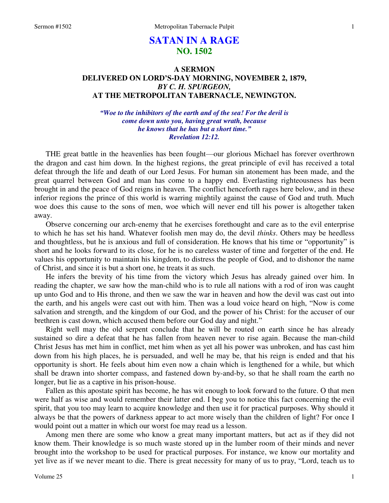# **SATAN IN A RAGE NO. 1502**

## **A SERMON DELIVERED ON LORD'S-DAY MORNING, NOVEMBER 2, 1879,**  *BY C. H. SPURGEON,*  **AT THE METROPOLITAN TABERNACLE, NEWINGTON.**

*"Woe to the inhibitors of the earth and of the sea! For the devil is come down unto you, having great wrath, because he knows that he has but a short time." Revelation 12:12.* 

THE great battle in the heavenlies has been fought—our glorious Michael has forever overthrown the dragon and cast him down. In the highest regions, the great principle of evil has received a total defeat through the life and death of our Lord Jesus. For human sin atonement has been made, and the great quarrel between God and man has come to a happy end. Everlasting righteousness has been brought in and the peace of God reigns in heaven. The conflict henceforth rages here below, and in these inferior regions the prince of this world is warring mightily against the cause of God and truth. Much woe does this cause to the sons of men, woe which will never end till his power is altogether taken away.

 Observe concerning our arch-enemy that he exercises forethought and care as to the evil enterprise to which he has set his hand. Whatever foolish men may do, the devil *thinks*. Others may be heedless and thoughtless, but he is anxious and full of consideration. He knows that his time or "opportunity" is short and he looks forward to its close, for he is no careless waster of time and forgetter of the end. He values his opportunity to maintain his kingdom, to distress the people of God, and to dishonor the name of Christ, and since it is but a short one, he treats it as such.

 He infers the brevity of his time from the victory which Jesus has already gained over him. In reading the chapter, we saw how the man-child who is to rule all nations with a rod of iron was caught up unto God and to His throne, and then we saw the war in heaven and how the devil was cast out into the earth, and his angels were cast out with him. Then was a loud voice heard on high, "Now is come salvation and strength, and the kingdom of our God, and the power of his Christ: for the accuser of our brethren is cast down, which accused them before our God day and night."

 Right well may the old serpent conclude that he will be routed on earth since he has already sustained so dire a defeat that he has fallen from heaven never to rise again. Because the man-child Christ Jesus has met him in conflict, met him when as yet all his power was unbroken, and has cast him down from his high places, he is persuaded, and well he may be, that his reign is ended and that his opportunity is short. He feels about him even now a chain which is lengthened for a while, but which shall be drawn into shorter compass, and fastened down by-and-by, so that he shall roam the earth no longer, but lie as a captive in his prison-house.

 Fallen as this apostate spirit has become, he has wit enough to look forward to the future. O that men were half as wise and would remember their latter end. I beg you to notice this fact concerning the evil spirit, that you too may learn to acquire knowledge and then use it for practical purposes. Why should it always be that the powers of darkness appear to act more wisely than the children of light? For once I would point out a matter in which our worst foe may read us a lesson.

 Among men there are some who know a great many important matters, but act as if they did not know them. Their knowledge is so much waste stored up in the lumber room of their minds and never brought into the workshop to be used for practical purposes. For instance, we know our mortality and yet live as if we never meant to die. There is great necessity for many of us to pray, "Lord, teach us to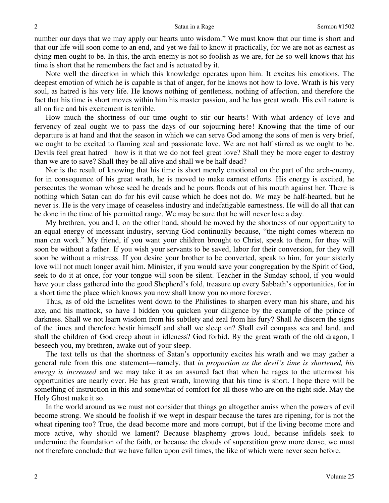number our days that we may apply our hearts unto wisdom." We must know that our time is short and that our life will soon come to an end, and yet we fail to know it practically, for we are not as earnest as dying men ought to be. In this, the arch-enemy is not so foolish as we are, for he so well knows that his time is short that he remembers the fact and is actuated by it.

 Note well the direction in which this knowledge operates upon him. It excites his emotions. The deepest emotion of which he is capable is that of anger, for he knows not how to love. Wrath is his very soul, as hatred is his very life. He knows nothing of gentleness, nothing of affection, and therefore the fact that his time is short moves within him his master passion, and he has great wrath. His evil nature is all on fire and his excitement is terrible.

 How much the shortness of our time ought to stir our hearts! With what ardency of love and fervency of zeal ought we to pass the days of our sojourning here! Knowing that the time of our departure is at hand and that the season in which we can serve God among the sons of men is very brief, we ought to be excited to flaming zeal and passionate love. We are not half stirred as we ought to be. Devils feel great hatred—how is it that we do not feel great love? Shall they be more eager to destroy than we are to save? Shall they be all alive and shall we be half dead?

 Nor is the result of knowing that his time is short merely emotional on the part of the arch-enemy, for in consequence of his great wrath, he is moved to make earnest efforts. His energy is excited, he persecutes the woman whose seed he dreads and he pours floods out of his mouth against her. There is nothing which Satan can do for his evil cause which he does not do. *We* may be half-hearted, but he never is. He is the very image of ceaseless industry and indefatigable earnestness. He will do all that can be done in the time of his permitted range. We may be sure that he will never lose a day.

 My brethren, you and I, on the other hand, should be moved by the shortness of our opportunity to an equal energy of incessant industry, serving God continually because, "the night comes wherein no man can work." My friend, if you want your children brought to Christ, speak to them, for they will soon be without a father. If you wish your servants to be saved, labor for their conversion, for they will soon be without a mistress. If you desire your brother to be converted, speak to him, for your sisterly love will not much longer avail him. Minister, if you would save your congregation by the Spirit of God, seek to do it at once, for your tongue will soon be silent. Teacher in the Sunday school, if you would have your class gathered into the good Shepherd's fold, treasure up every Sabbath's opportunities, for in a short time the place which knows you now shall know you no more forever.

 Thus, as of old the Israelites went down to the Philistines to sharpen every man his share, and his axe, and his mattock, so have I bidden you quicken your diligence by the example of the prince of darkness. Shall we not learn wisdom from his subtlety and zeal from his fury? Shall *he* discern the signs of the times and therefore bestir himself and shall we sleep on? Shall evil compass sea and land, and shall the children of God creep about in idleness? God forbid. By the great wrath of the old dragon, I beseech you, my brethren, awake out of your sleep.

 The text tells us that the shortness of Satan's opportunity excites his wrath and we may gather a general rule from this one statement—namely, that *in proportion as the devil's time is shortened, his energy is increased* and we may take it as an assured fact that when he rages to the uttermost his opportunities are nearly over. He has great wrath, knowing that his time is short. I hope there will be something of instruction in this and somewhat of comfort for all those who are on the right side. May the Holy Ghost make it so.

 In the world around us we must not consider that things go altogether amiss when the powers of evil become strong. We should be foolish if we wept in despair because the tares are ripening, for is not the wheat ripening too? True, the dead become more and more corrupt, but if the living become more and more active, why should we lament? Because blasphemy grows loud, because infidels seek to undermine the foundation of the faith, or because the clouds of superstition grow more dense, we must not therefore conclude that we have fallen upon evil times, the like of which were never seen before.

Volume 25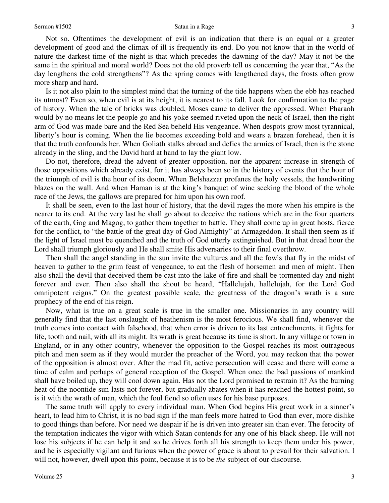Not so. Oftentimes the development of evil is an indication that there is an equal or a greater development of good and the climax of ill is frequently its end. Do you not know that in the world of nature the darkest time of the night is that which precedes the dawning of the day? May it not be the same in the spiritual and moral world? Does not the old proverb tell us concerning the year that, "As the day lengthens the cold strengthens"? As the spring comes with lengthened days, the frosts often grow more sharp and hard.

 Is it not also plain to the simplest mind that the turning of the tide happens when the ebb has reached its utmost? Even so, when evil is at its height, it is nearest to its fall. Look for confirmation to the page of history. When the tale of bricks was doubled, Moses came to deliver the oppressed. When Pharaoh would by no means let the people go and his yoke seemed riveted upon the neck of Israel, then the right arm of God was made bare and the Red Sea beheld His vengeance. When despots grow most tyrannical, liberty's hour is coming. When the lie becomes exceeding bold and wears a brazen forehead, then it is that the truth confounds her. When Goliath stalks abroad and defies the armies of Israel, then is the stone already in the sling, and the David hard at hand to lay the giant low.

 Do not, therefore, dread the advent of greater opposition, nor the apparent increase in strength of those oppositions which already exist, for it has always been so in the history of events that the hour of the triumph of evil is the hour of its doom. When Belshazzar profanes the holy vessels, the handwriting blazes on the wall. And when Haman is at the king's banquet of wine seeking the blood of the whole race of the Jews, the gallows are prepared for him upon his own roof.

 It shall be seen, even to the last hour of history, that the devil rages the more when his empire is the nearer to its end. At the very last he shall go about to deceive the nations which are in the four quarters of the earth, Gog and Magog, to gather them together to battle. They shall come up in great hosts, fierce for the conflict, to "the battle of the great day of God Almighty" at Armageddon. It shall then seem as if the light of Israel must be quenched and the truth of God utterly extinguished. But in that dread hour the Lord shall triumph gloriously and He shall smite His adversaries to their final overthrow.

 Then shall the angel standing in the sun invite the vultures and all the fowls that fly in the midst of heaven to gather to the grim feast of vengeance, to eat the flesh of horsemen and men of might. Then also shall the devil that deceived them be cast into the lake of fire and shall be tormented day and night forever and ever. Then also shall the shout be heard, "Hallelujah, hallelujah, for the Lord God omnipotent reigns." On the greatest possible scale, the greatness of the dragon's wrath is a sure prophecy of the end of his reign.

 Now, what is true on a great scale is true in the smaller one. Missionaries in any country will generally find that the last onslaught of heathenism is the most ferocious. We shall find, whenever the truth comes into contact with falsehood, that when error is driven to its last entrenchments, it fights for life, tooth and nail, with all its might. Its wrath is great because its time is short. In any village or town in England, or in any other country, whenever the opposition to the Gospel reaches its most outrageous pitch and men seem as if they would murder the preacher of the Word, you may reckon that the power of the opposition is almost over. After the mad fit, active persecution will cease and there will come a time of calm and perhaps of general reception of the Gospel. When once the bad passions of mankind shall have boiled up, they will cool down again. Has not the Lord promised to restrain it? As the burning heat of the noontide sun lasts not forever, but gradually abates when it has reached the hottest point, so is it with the wrath of man, which the foul fiend so often uses for his base purposes.

 The same truth will apply to every individual man. When God begins His great work in a sinner's heart, to lead him to Christ, it is no bad sign if the man feels more hatred to God than ever, more dislike to good things than before. Nor need we despair if he is driven into greater sin than ever. The ferocity of the temptation indicates the vigor with which Satan contends for any one of his black sheep. He will not lose his subjects if he can help it and so he drives forth all his strength to keep them under his power, and he is especially vigilant and furious when the power of grace is about to prevail for their salvation. I will not, however, dwell upon this point, because it is to be *the* subject of our discourse.

3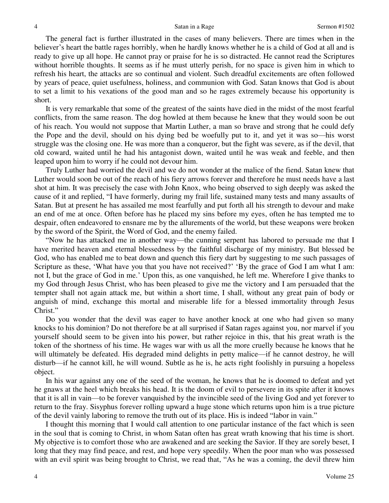The general fact is further illustrated in the cases of many believers. There are times when in the believer's heart the battle rages horribly, when he hardly knows whether he is a child of God at all and is ready to give up all hope. He cannot pray or praise for he is so distracted. He cannot read the Scriptures without horrible thoughts. It seems as if he must utterly perish, for no space is given him in which to refresh his heart, the attacks are so continual and violent. Such dreadful excitements are often followed by years of peace, quiet usefulness, holiness, and communion with God. Satan knows that God is about to set a limit to his vexations of the good man and so he rages extremely because his opportunity is short.

 It is very remarkable that some of the greatest of the saints have died in the midst of the most fearful conflicts, from the same reason. The dog howled at them because he knew that they would soon be out of his reach. You would not suppose that Martin Luther, a man so brave and strong that he could defy the Pope and the devil, should on his dying bed be woefully put to it, and yet it was so—his worst struggle was the closing one. He was more than a conqueror, but the fight was severe, as if the devil, that old coward, waited until he had his antagonist down, waited until he was weak and feeble, and then leaped upon him to worry if he could not devour him.

 Truly Luther had worried the devil and we do not wonder at the malice of the fiend. Satan knew that Luther would soon be out of the reach of his fiery arrows forever and therefore he must needs have a last shot at him. It was precisely the case with John Knox, who being observed to sigh deeply was asked the cause of it and replied, "I have formerly, during my frail life, sustained many tests and many assaults of Satan. But at present he has assailed me most fearfully and put forth all his strength to devour and make an end of me at once. Often before has he placed my sins before my eyes, often he has tempted me to despair, often endeavored to ensnare me by the allurements of the world, but these weapons were broken by the sword of the Spirit, the Word of God, and the enemy failed.

"Now he has attacked me in another way—the cunning serpent has labored to persuade me that I have merited heaven and eternal blessedness by the faithful discharge of my ministry. But blessed be God, who has enabled me to beat down and quench this fiery dart by suggesting to me such passages of Scripture as these, 'What have you that you have not received?' 'By the grace of God I am what I am: not I, but the grace of God in me.' Upon this, as one vanquished, he left me. Wherefore I give thanks to my God through Jesus Christ, who has been pleased to give me the victory and I am persuaded that the tempter shall not again attack me, but within a short time, I shall, without any great pain of body or anguish of mind, exchange this mortal and miserable life for a blessed immortality through Jesus Christ."

 Do you wonder that the devil was eager to have another knock at one who had given so many knocks to his dominion? Do not therefore be at all surprised if Satan rages against you, nor marvel if you yourself should seem to be given into his power, but rather rejoice in this, that his great wrath is the token of the shortness of his time. He wages war with us all the more cruelly because he knows that he will ultimately be defeated. His degraded mind delights in petty malice—if he cannot destroy, he will disturb—if he cannot kill, he will wound. Subtle as he is, he acts right foolishly in pursuing a hopeless object.

 In his war against any one of the seed of the woman, he knows that he is doomed to defeat and yet he gnaws at the heel which breaks his head. It is the doom of evil to persevere in its spite after it knows that it is all in vain—to be forever vanquished by the invincible seed of the living God and yet forever to return to the fray. Sisyphus forever rolling upward a huge stone which returns upon him is a true picture of the devil vainly laboring to remove the truth out of its place. His is indeed "labor in vain."

 I thought this morning that I would call attention to one particular instance of the fact which is seen in the soul that is coming to Christ, in whom Satan often has great wrath knowing that his time is short. My objective is to comfort those who are awakened and are seeking the Savior. If they are sorely beset, I long that they may find peace, and rest, and hope very speedily. When the poor man who was possessed with an evil spirit was being brought to Christ, we read that, "As he was a coming, the devil threw him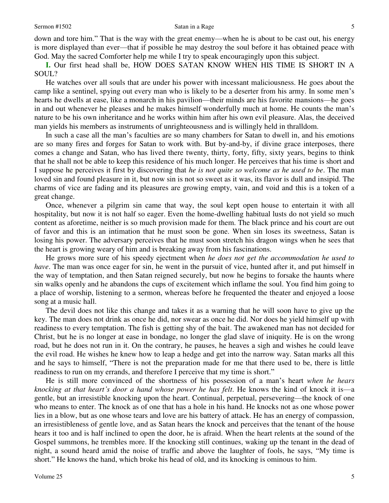down and tore him." That is the way with the great enemy—when he is about to be cast out, his energy is more displayed than ever—that if possible he may destroy the soul before it has obtained peace with God. May the sacred Comforter help me while I try to speak encouragingly upon this subject.

**I.** Our first head shall be, HOW DOES SATAN KNOW WHEN HIS TIME IS SHORT IN A SOUL?

 He watches over all souls that are under his power with incessant maliciousness. He goes about the camp like a sentinel, spying out every man who is likely to be a deserter from his army. In some men's hearts he dwells at ease, like a monarch in his pavilion—their minds are his favorite mansions—he goes in and out whenever he pleases and he makes himself wonderfully much at home. He counts the man's nature to be his own inheritance and he works within him after his own evil pleasure. Alas, the deceived man yields his members as instruments of unrighteousness and is willingly held in thralldom.

 In such a case all the man's faculties are so many chambers for Satan to dwell in, and his emotions are so many fires and forges for Satan to work with. But by-and-by, if divine grace interposes, there comes a change and Satan, who has lived there twenty, thirty, forty, fifty, sixty years, begins to think that he shall not be able to keep this residence of his much longer. He perceives that his time is short and I suppose he perceives it first by discovering that *he is not quite so welcome as he used to be*. The man loved sin and found pleasure in it, but now sin is not so sweet as it was, its flavor is dull and insipid. The charms of vice are fading and its pleasures are growing empty, vain, and void and this is a token of a great change.

 Once, whenever a pilgrim sin came that way, the soul kept open house to entertain it with all hospitality, but now it is not half so eager. Even the home-dwelling habitual lusts do not yield so much content as aforetime, neither is so much provision made for them. The black prince and his court are out of favor and this is an intimation that he must soon be gone. When sin loses its sweetness, Satan is losing his power. The adversary perceives that he must soon stretch his dragon wings when he sees that the heart is growing weary of him and is breaking away from his fascinations.

 He grows more sure of his speedy ejectment when *he does not get the accommodation he used to have*. The man was once eager for sin, he went in the pursuit of vice, hunted after it, and put himself in the way of temptation, and then Satan reigned securely, but now he begins to forsake the haunts where sin walks openly and he abandons the cups of excitement which inflame the soul. You find him going to a place of worship, listening to a sermon, whereas before he frequented the theater and enjoyed a loose song at a music hall.

 The devil does not like this change and takes it as a warning that he will soon have to give up the key. The man does not drink as once he did, nor swear as once he did. Nor does he yield himself up with readiness to every temptation. The fish is getting shy of the bait. The awakened man has not decided for Christ, but he is no longer at ease in bondage, no longer the glad slave of iniquity. He is on the wrong road, but he does not run in it. On the contrary, he pauses, he heaves a sigh and wishes he could leave the evil road. He wishes he knew how to leap a hedge and get into the narrow way. Satan marks all this and he says to himself, "There is not the preparation made for me that there used to be, there is little readiness to run on my errands, and therefore I perceive that my time is short."

 He is still more convinced of the shortness of his possession of a man's heart *when he hears knocking at that heart's door a hand whose power he has felt*. He knows the kind of knock it is—a gentle, but an irresistible knocking upon the heart. Continual, perpetual, persevering—the knock of one who means to enter. The knock as of one that has a hole in his hand. He knocks not as one whose power lies in a blow, but as one whose tears and love are his battery of attack. He has an energy of compassion, an irresistibleness of gentle love, and as Satan hears the knock and perceives that the tenant of the house hears it too and is half inclined to open the door, he is afraid. When the heart relents at the sound of the Gospel summons, he trembles more. If the knocking still continues, waking up the tenant in the dead of night, a sound heard amid the noise of traffic and above the laughter of fools, he says, "My time is short." He knows the hand, which broke his head of old, and its knocking is ominous to him.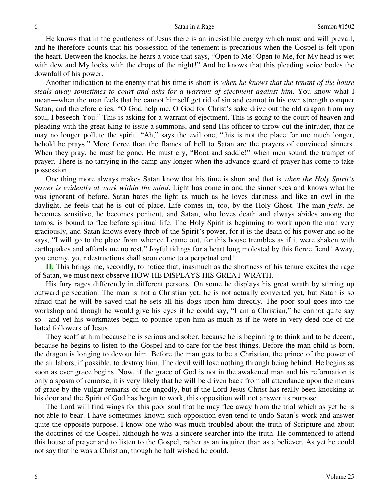He knows that in the gentleness of Jesus there is an irresistible energy which must and will prevail, and he therefore counts that his possession of the tenement is precarious when the Gospel is felt upon the heart. Between the knocks, he hears a voice that says, "Open to Me! Open to Me, for My head is wet with dew and My locks with the drops of the night!" And he knows that this pleading voice bodes the downfall of his power.

 Another indication to the enemy that his time is short is *when he knows that the tenant of the house steals away sometimes to court and asks for a warrant of ejectment against him*. You know what I mean—when the man feels that he cannot himself get rid of sin and cannot in his own strength conquer Satan, and therefore cries, "O God help me, O God for Christ's sake drive out the old dragon from my soul, I beseech You." This is asking for a warrant of ejectment. This is going to the court of heaven and pleading with the great King to issue a summons, and send His officer to throw out the intruder, that he may no longer pollute the spirit. "Ah," says the evil one, "this is not the place for me much longer, behold he prays." More fierce than the flames of hell to Satan are the prayers of convinced sinners. When they pray, he must be gone. He must cry, "Boot and saddle!" when men sound the trumpet of prayer. There is no tarrying in the camp any longer when the advance guard of prayer has come to take possession.

 One thing more always makes Satan know that his time is short and that is *when the Holy Spirit's power is evidently at work within the mind*. Light has come in and the sinner sees and knows what he was ignorant of before. Satan hates the light as much as he loves darkness and like an owl in the daylight, he feels that he is out of place. Life comes in, too, by the Holy Ghost. The man *feels*, he becomes sensitive, he becomes penitent, and Satan, who loves death and always abides among the tombs, is bound to flee before spiritual life. The Holy Spirit is beginning to work upon the man very graciously, and Satan knows every throb of the Spirit's power, for it is the death of his power and so he says, "I will go to the place from whence I came out, for this house trembles as if it were shaken with earthquakes and affords me no rest." Joyful tidings for a heart long molested by this fierce fiend! Away, you enemy, your destructions shall soon come to a perpetual end!

**II.** This brings me, secondly, to notice that, inasmuch as the shortness of his tenure excites the rage of Satan, we must next observe HOW HE DISPLAYS HIS GREAT WRATH.

 His fury rages differently in different persons. On some he displays his great wrath by stirring up outward persecution. The man is not a Christian yet, he is not actually converted yet, but Satan is so afraid that he will be saved that he sets all his dogs upon him directly. The poor soul goes into the workshop and though he would give his eyes if he could say, "I am a Christian," he cannot quite say so—and yet his workmates begin to pounce upon him as much as if he were in very deed one of the hated followers of Jesus.

 They scoff at him because he is serious and sober, because he is beginning to think and to be decent, because he begins to listen to the Gospel and to care for the best things. Before the man-child is born, the dragon is longing to devour him. Before the man gets to be a Christian, the prince of the power of the air labors, if possible, to destroy him. The devil will lose nothing through being behind. He begins as soon as ever grace begins. Now, if the grace of God is not in the awakened man and his reformation is only a spasm of remorse, it is very likely that he will be driven back from all attendance upon the means of grace by the vulgar remarks of the ungodly, but if the Lord Jesus Christ has really been knocking at his door and the Spirit of God has begun to work, this opposition will not answer its purpose.

 The Lord will find wings for this poor soul that he may flee away from the trial which as yet he is not able to bear. I have sometimes known such opposition even tend to undo Satan's work and answer quite the opposite purpose. I know one who was much troubled about the truth of Scripture and about the doctrines of the Gospel, although he was a sincere searcher into the truth. He commenced to attend this house of prayer and to listen to the Gospel, rather as an inquirer than as a believer. As yet he could not say that he was a Christian, though he half wished he could.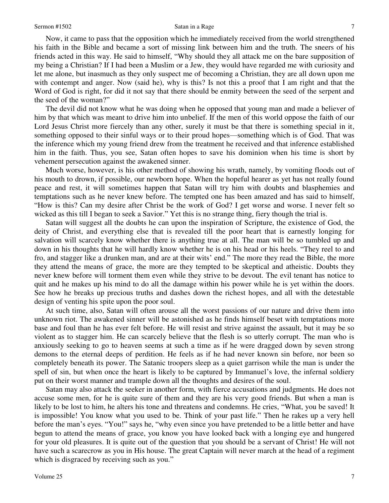Now, it came to pass that the opposition which he immediately received from the world strengthened his faith in the Bible and became a sort of missing link between him and the truth. The sneers of his friends acted in this way. He said to himself, "Why should they all attack me on the bare supposition of my being a Christian? If I had been a Muslim or a Jew, they would have regarded me with curiosity and let me alone, but inasmuch as they only suspect me of becoming a Christian, they are all down upon me with contempt and anger. Now (said he), why is this? Is not this a proof that I am right and that the Word of God is right, for did it not say that there should be enmity between the seed of the serpent and the seed of the woman?"

 The devil did not know what he was doing when he opposed that young man and made a believer of him by that which was meant to drive him into unbelief. If the men of this world oppose the faith of our Lord Jesus Christ more fiercely than any other, surely it must be that there is something special in it, something opposed to their sinful ways or to their proud hopes—something which is of God. That was the inference which my young friend drew from the treatment he received and that inference established him in the faith. Thus, you see, Satan often hopes to save his dominion when his time is short by vehement persecution against the awakened sinner.

 Much worse, however, is his other method of showing his wrath, namely, by vomiting floods out of his mouth to drown, if possible, our newborn hope. When the hopeful hearer as yet has not really found peace and rest, it will sometimes happen that Satan will try him with doubts and blasphemies and temptations such as he never knew before. The tempted one has been amazed and has said to himself, "How is this? Can my desire after Christ be the work of God? I get worse and worse. I never felt so wicked as this till I began to seek a Savior." Yet this is no strange thing, fiery though the trial is.

 Satan will suggest all the doubts he can upon the inspiration of Scripture, the existence of God, the deity of Christ, and everything else that is revealed till the poor heart that is earnestly longing for salvation will scarcely know whether there is anything true at all. The man will be so tumbled up and down in his thoughts that he will hardly know whether he is on his head or his heels. "They reel to and fro, and stagger like a drunken man, and are at their wits' end." The more they read the Bible, the more they attend the means of grace, the more are they tempted to be skeptical and atheistic. Doubts they never knew before will torment them even while they strive to be devout. The evil tenant has notice to quit and he makes up his mind to do all the damage within his power while he is yet within the doors. See how he breaks up precious truths and dashes down the richest hopes, and all with the detestable design of venting his spite upon the poor soul.

 At such time, also, Satan will often arouse all the worst passions of our nature and drive them into unknown riot. The awakened sinner will be astonished as he finds himself beset with temptations more base and foul than he has ever felt before. He will resist and strive against the assault, but it may be so violent as to stagger him. He can scarcely believe that the flesh is so utterly corrupt. The man who is anxiously seeking to go to heaven seems at such a time as if he were dragged down by seven strong demons to the eternal deeps of perdition. He feels as if he had never known sin before, nor been so completely beneath its power. The Satanic troopers sleep as a quiet garrison while the man is under the spell of sin, but when once the heart is likely to be captured by Immanuel's love, the infernal soldiery put on their worst manner and trample down all the thoughts and desires of the soul.

 Satan may also attack the seeker in another form, with fierce accusations and judgments. He does not accuse some men, for he is quite sure of them and they are his very good friends. But when a man is likely to be lost to him, he alters his tone and threatens and condemns. He cries, "What, you be saved! It is impossible! You know what you used to be. Think of your past life." Then he rakes up a very hell before the man's eyes. "You!" says he, "why even since you have pretended to be a little better and have begun to attend the means of grace, you know you have looked back with a longing eye and hungered for your old pleasures. It is quite out of the question that you should be a servant of Christ! He will not have such a scarecrow as you in His house. The great Captain will never march at the head of a regiment which is disgraced by receiving such as you."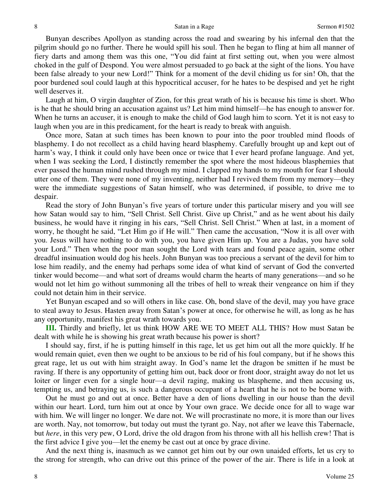Bunyan describes Apollyon as standing across the road and swearing by his infernal den that the pilgrim should go no further. There he would spill his soul. Then he began to fling at him all manner of fiery darts and among them was this one, "You did faint at first setting out, when you were almost choked in the gulf of Despond. You were almost persuaded to go back at the sight of the lions. You have been false already to your new Lord!" Think for a moment of the devil chiding us for sin! Oh, that the poor burdened soul could laugh at this hypocritical accuser, for he hates to be despised and yet he right well deserves it.

 Laugh at him, O virgin daughter of Zion, for this great wrath of his is because his time is short. Who is he that he should bring an accusation against us? Let him mind himself—he has enough to answer for. When he turns an accuser, it is enough to make the child of God laugh him to scorn. Yet it is not easy to laugh when you are in this predicament, for the heart is ready to break with anguish.

 Once more, Satan at such times has been known to pour into the poor troubled mind floods of blasphemy. I do not recollect as a child having heard blasphemy. Carefully brought up and kept out of harm's way, I think it could only have been once or twice that I ever heard profane language. And yet, when I was seeking the Lord, I distinctly remember the spot where the most hideous blasphemies that ever passed the human mind rushed through my mind. I clapped my hands to my mouth for fear I should utter one of them. They were none of my inventing, neither had I revived them from my memory—they were the immediate suggestions of Satan himself, who was determined, if possible, to drive me to despair.

 Read the story of John Bunyan's five years of torture under this particular misery and you will see how Satan would say to him, "Sell Christ. Sell Christ. Give up Christ," and as he went about his daily business, he would have it ringing in his ears, "Sell Christ. Sell Christ." When at last, in a moment of worry, he thought he said, "Let Him go if He will." Then came the accusation, "Now it is all over with you. Jesus will have nothing to do with you, you have given Him up. You are a Judas, you have sold your Lord." Then when the poor man sought the Lord with tears and found peace again, some other dreadful insinuation would dog his heels. John Bunyan was too precious a servant of the devil for him to lose him readily, and the enemy had perhaps some idea of what kind of servant of God the converted tinker would become—and what sort of dreams would charm the hearts of many generations—and so he would not let him go without summoning all the tribes of hell to wreak their vengeance on him if they could not detain him in their service.

 Yet Bunyan escaped and so will others in like case. Oh, bond slave of the devil, may you have grace to steal away to Jesus. Hasten away from Satan's power at once, for otherwise he will, as long as he has any opportunity, manifest his great wrath towards you.

**III.** Thirdly and briefly, let us think HOW ARE WE TO MEET ALL THIS? How must Satan be dealt with while he is showing his great wrath because his power is short?

 I should say, first, if he is putting himself in this rage, let us get him out all the more quickly. If he would remain quiet, even then we ought to be anxious to be rid of his foul company, but if he shows this great rage, let us out with him straight away. In God's name let the dragon be smitten if he must be raving. If there is any opportunity of getting him out, back door or front door, straight away do not let us loiter or linger even for a single hour—a devil raging, making us blaspheme, and then accusing us, tempting us, and betraying us, is such a dangerous occupant of a heart that he is not to be borne with.

 Out he must go and out at once. Better have a den of lions dwelling in our house than the devil within our heart. Lord, turn him out at once by Your own grace. We decide once for all to wage war with him. We will linger no longer. We dare not. We will procrastinate no more, it is more than our lives are worth. Nay, not tomorrow, but today out must the tyrant go. Nay, not after we leave this Tabernacle, but *here*, in this very pew, O Lord, drive the old dragon from his throne with all his hellish crew! That is the first advice I give you—let the enemy be cast out at once by grace divine.

 And the next thing is, inasmuch as we cannot get him out by our own unaided efforts, let us cry to the strong for strength, who can drive out this prince of the power of the air. There is life in a look at